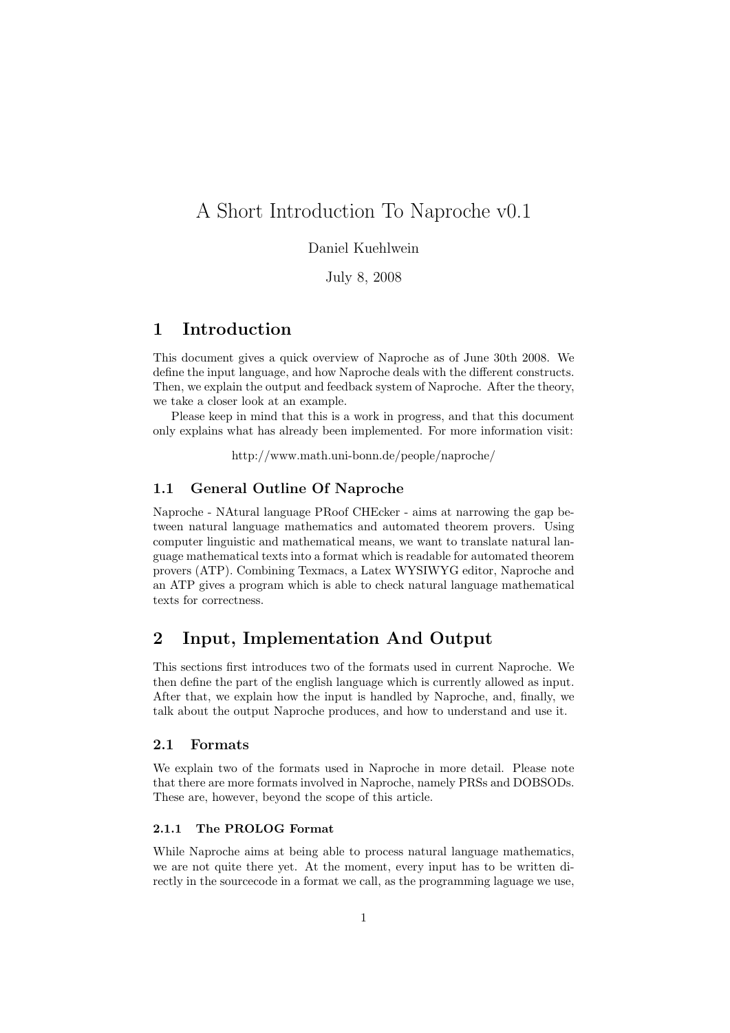# A Short Introduction To Naproche v0.1

## Daniel Kuehlwein

July 8, 2008

## 1 Introduction

This document gives a quick overview of Naproche as of June 30th 2008. We define the input language, and how Naproche deals with the different constructs. Then, we explain the output and feedback system of Naproche. After the theory, we take a closer look at an example.

Please keep in mind that this is a work in progress, and that this document only explains what has already been implemented. For more information visit:

http://www.math.uni-bonn.de/people/naproche/

## 1.1 General Outline Of Naproche

Naproche - NAtural language PRoof CHEcker - aims at narrowing the gap between natural language mathematics and automated theorem provers. Using computer linguistic and mathematical means, we want to translate natural language mathematical texts into a format which is readable for automated theorem provers (ATP). Combining Texmacs, a Latex WYSIWYG editor, Naproche and an ATP gives a program which is able to check natural language mathematical texts for correctness.

## 2 Input, Implementation And Output

This sections first introduces two of the formats used in current Naproche. We then define the part of the english language which is currently allowed as input. After that, we explain how the input is handled by Naproche, and, finally, we talk about the output Naproche produces, and how to understand and use it.

## 2.1 Formats

We explain two of the formats used in Naproche in more detail. Please note that there are more formats involved in Naproche, namely PRSs and DOBSODs. These are, however, beyond the scope of this article.

#### 2.1.1 The PROLOG Format

While Naproche aims at being able to process natural language mathematics, we are not quite there yet. At the moment, every input has to be written directly in the sourcecode in a format we call, as the programming laguage we use,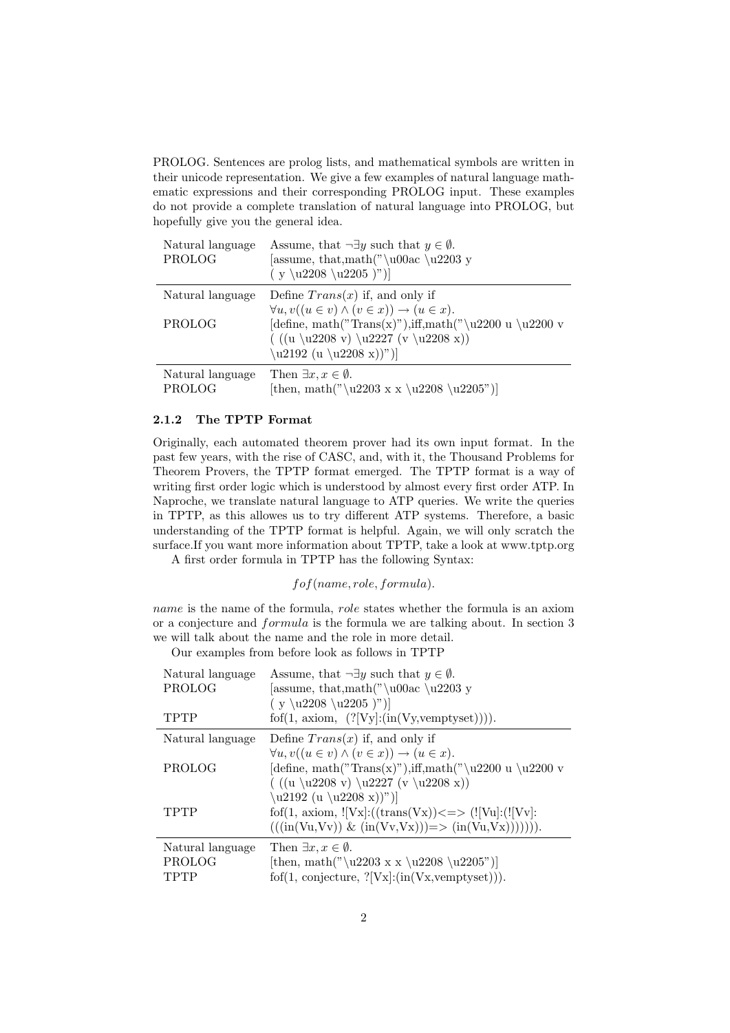PROLOG. Sentences are prolog lists, and mathematical symbols are written in their unicode representation. We give a few examples of natural language mathematic expressions and their corresponding PROLOG input. These examples do not provide a complete translation of natural language into PROLOG, but hopefully give you the general idea.

| Natural language<br>PROLOG | Assume, that $\neg \exists y$ such that $y \in \emptyset$ .<br>[assume, that, math("\u00ac\u2203 y<br>$(y \u2208 \u2205)$ |
|----------------------------|---------------------------------------------------------------------------------------------------------------------------|
| Natural language           | Define $Trans(x)$ if, and only if                                                                                         |
|                            | $\forall u, v((u \in v) \land (v \in x)) \rightarrow (u \in x).$                                                          |
| PROLOG                     | [define, math("Trans(x)"), iff, math("\u2200 u \u2200 v                                                                   |
|                            | $((u \u2208 v) \u2227 (v \u2208 x))$                                                                                      |
|                            | $\u2192 (u \u2208 x))"$                                                                                                   |
| Natural language           | Then $\exists x, x \in \emptyset$ .                                                                                       |
| PROLOG                     | [then, math("\u2203 x x \u2208 \u2205")]                                                                                  |

#### 2.1.2 The TPTP Format

Originally, each automated theorem prover had its own input format. In the past few years, with the rise of CASC, and, with it, the Thousand Problems for Theorem Provers, the TPTP format emerged. The TPTP format is a way of writing first order logic which is understood by almost every first order ATP. In Naproche, we translate natural language to ATP queries. We write the queries in TPTP, as this allowes us to try different ATP systems. Therefore, a basic understanding of the TPTP format is helpful. Again, we will only scratch the surface.If you want more information about TPTP, take a look at www.tptp.org

A first order formula in TPTP has the following Syntax:

fof(name, role, formula).

name is the name of the formula, role states whether the formula is an axiom or a conjecture and formula is the formula we are talking about. In section 3 we will talk about the name and the role in more detail.

Our examples from before look as follows in TPTP

| Natural language<br>PROLOG<br>TPTP | Assume, that $\neg \exists y$ such that $y \in \emptyset$ .<br>[assume, that, math("\u00ac\u2203 y<br>$(y \u2208 \u2205)$<br>fof $(1, \text{ axiom}, (?[Vy]:(\text{in}(Vy, \text{vemptyset}))))$ . |
|------------------------------------|----------------------------------------------------------------------------------------------------------------------------------------------------------------------------------------------------|
| Natural language                   | Define $Trans(x)$ if, and only if                                                                                                                                                                  |
| PROLOG                             | $\forall u, v((u \in v) \land (v \in x)) \rightarrow (u \in x).$<br>[define, math("Trans(x)"), iff, math("\u2200 u \u2200 v<br>$((u \u2208 v) \u2227 (v \u2208 x))$                                |
| TPTP                               | $\u2192 (u \u2208 x))"$<br>fof(1, axiom, $![Vx]$ :((trans(Vx)) <=> ( $![Vu]$ :( $![Vv]$ :<br>$(((\text{in}(Vu, Vv)) \& (\text{in}(Vv, Vx)))=\rangle (\text{in}(Vu, Vx)))))).$                      |
| Natural language<br>PROLOG<br>TPTP | Then $\exists x, x \in \emptyset$ .<br>[then, math("\u2203 x x \u2208 \u2205")]<br>$f \circ f(1, \text{ conjecture}, ?[Vx]:(\text{in}(Vx,\text{vemptyset}))).$                                     |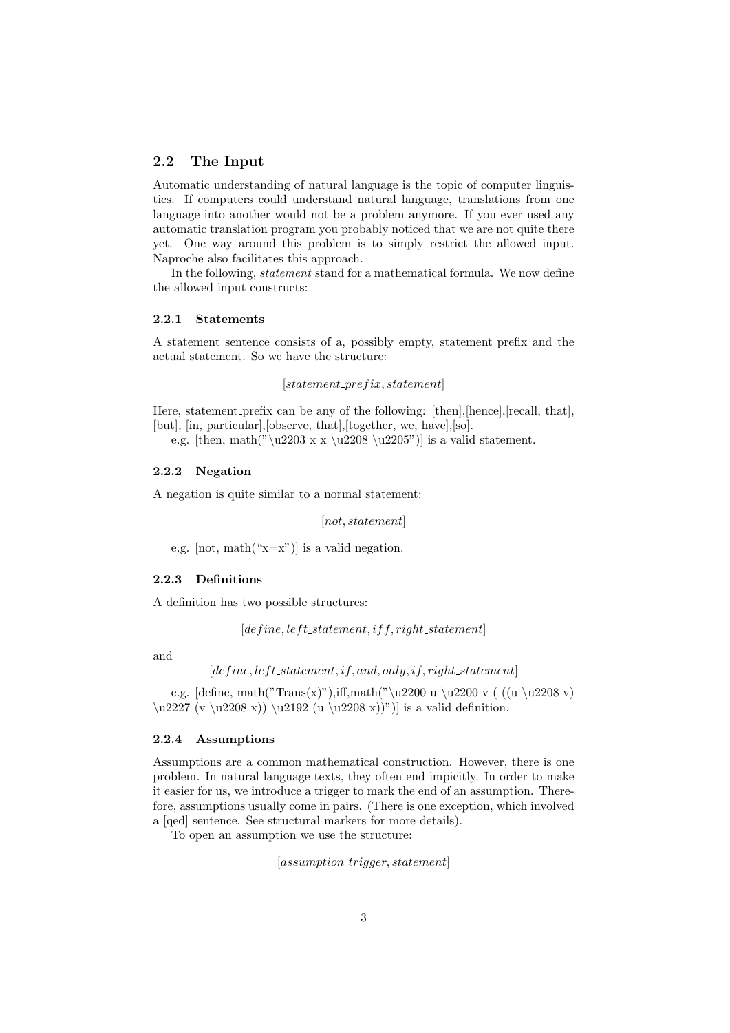#### 2.2 The Input

Automatic understanding of natural language is the topic of computer linguistics. If computers could understand natural language, translations from one language into another would not be a problem anymore. If you ever used any automatic translation program you probably noticed that we are not quite there yet. One way around this problem is to simply restrict the allowed input. Naproche also facilitates this approach.

In the following, *statement* stand for a mathematical formula. We now define the allowed input constructs:

#### 2.2.1 Statements

A statement sentence consists of a, possibly empty, statement prefix and the actual statement. So we have the structure:

 $[statement\_prefix, statement]$ 

Here, statement prefix can be any of the following: [then],[hence],[recall, that], [but], [in, particular],[observe, that],[together, we, have],[so].

e.g. [then, math("\u2203 x x \u2208 \u2205")] is a valid statement.

#### 2.2.2 Negation

A negation is quite similar to a normal statement:

[not, statement]

e.g.  $[not, math("x=x"]$  is a valid negation.

#### 2.2.3 Definitions

A definition has two possible structures:

 $[define, left\_statement, if f, right\_statement]$ 

and

 $[define, left\_statement, if, and, only, if, right\_statement]$ 

e.g. [define, math("Trans(x)"),iff,math("\u2200 u \u2200 v ( ((u \u2208 v)  $\u2227 (v \u2208 x)) \u2192 (u \u2208 x))$  is a valid definition.

#### 2.2.4 Assumptions

Assumptions are a common mathematical construction. However, there is one problem. In natural language texts, they often end impicitly. In order to make it easier for us, we introduce a trigger to mark the end of an assumption. Therefore, assumptions usually come in pairs. (There is one exception, which involved a [qed] sentence. See structural markers for more details).

To open an assumption we use the structure:

 $[assumption\_trigger, statement]$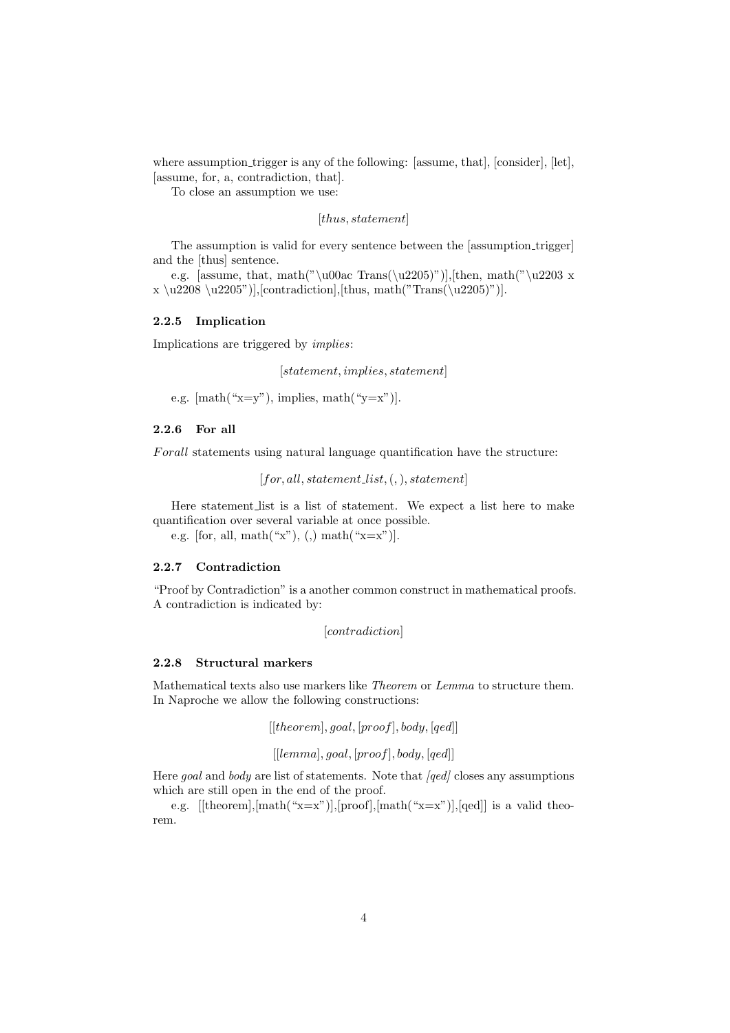where assumption trigger is any of the following: [assume, that], [consider], [let], [assume, for, a, contradiction, that].

To close an assumption we use:

[*thus*, *statement*]

The assumption is valid for every sentence between the [assumption trigger] and the [thus] sentence.

e.g. [assume, that, math("\u00ac Trans(\u2205)")],[then, math("\u2203 x  $x \u2208 \u2205"$ ], [contradiction], [thus, math("Trans(\u2205)")].

## 2.2.5 Implication

Implications are triggered by *implies*:

[statement, implies, statement]

e.g.  $[math(*x=y")$ , implies,  $math(*y=x")$ .

### 2.2.6 For all

Forall statements using natural language quantification have the structure:

 $[for, all, statement\_list, (,,), statement]$ 

Here statement list is a list of statement. We expect a list here to make quantification over several variable at once possible.

e.g. [for, all, math $(\mathscr{C}x)$ , (,) math $(\mathscr{C}x=x)$ ].

#### 2.2.7 Contradiction

"Proof by Contradiction" is a another common construct in mathematical proofs. A contradiction is indicated by:

[*contradiction*]

#### 2.2.8 Structural markers

Mathematical texts also use markers like Theorem or Lemma to structure them. In Naproche we allow the following constructions:

 $[[theorem], goal, [proof], body, [qed]]$ 

 $[[lemma], goal, [proof], body, [qed]]$ 

Here goal and body are list of statements. Note that  $\text{[ged]}$  closes any assumptions which are still open in the end of the proof.

e.g.  $[[\text{theorem}],[\text{math}("x=x$   $)],[\text{proof}],[\text{math}("x=x$   $)],[\text{qed}]$  is a valid theorem.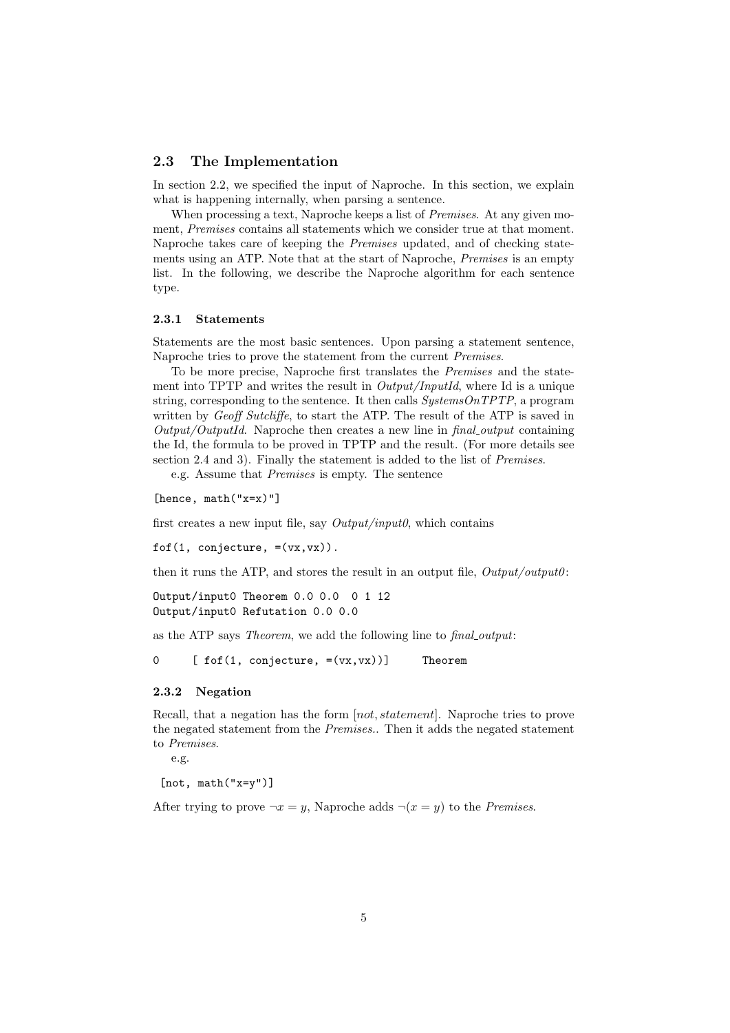#### 2.3 The Implementation

In section 2.2, we specified the input of Naproche. In this section, we explain what is happening internally, when parsing a sentence.

When processing a text, Naproche keeps a list of Premises. At any given moment, Premises contains all statements which we consider true at that moment. Naproche takes care of keeping the *Premises* updated, and of checking statements using an ATP. Note that at the start of Naproche, Premises is an empty list. In the following, we describe the Naproche algorithm for each sentence type.

#### 2.3.1 Statements

Statements are the most basic sentences. Upon parsing a statement sentence, Naproche tries to prove the statement from the current Premises.

To be more precise, Naproche first translates the Premises and the statement into TPTP and writes the result in  $Output/InputId$ , where Id is a unique string, corresponding to the sentence. It then calls  $SystemsOnTPTP$ , a program written by Geoff Sutcliffe, to start the ATP. The result of the ATP is saved in  $Output/OutputId.$  Naproche then creates a new line in  $final\_output$  containing the Id, the formula to be proved in TPTP and the result. (For more details see section 2.4 and 3). Finally the statement is added to the list of *Premises*.

e.g. Assume that Premises is empty. The sentence

[hence, math("x=x)"]

first creates a new input file, say  $Output/input$ , which contains

fof $(1, \text{ conjecture}, \exists(\forall x, \forall x))$ .

then it runs the ATP, and stores the result in an output file,  $Output\text{output}(i)$ :

```
Output/input0 Theorem 0.0 0.0 0 1 12
Output/input0 Refutation 0.0 0.0
```
as the ATP says Theorem, we add the following line to final output:

 $0 \qquad [f \circ f(1, \text{ conjecture}, = (vx, vx))]$  Theorem

#### 2.3.2 Negation

Recall, that a negation has the form [not, statement]. Naproche tries to prove the negated statement from the Premises.. Then it adds the negated statement to Premises.

e.g.

[not, math("x=y")]

After trying to prove  $\neg x = y$ , Naproche adds  $\neg(x = y)$  to the *Premises*.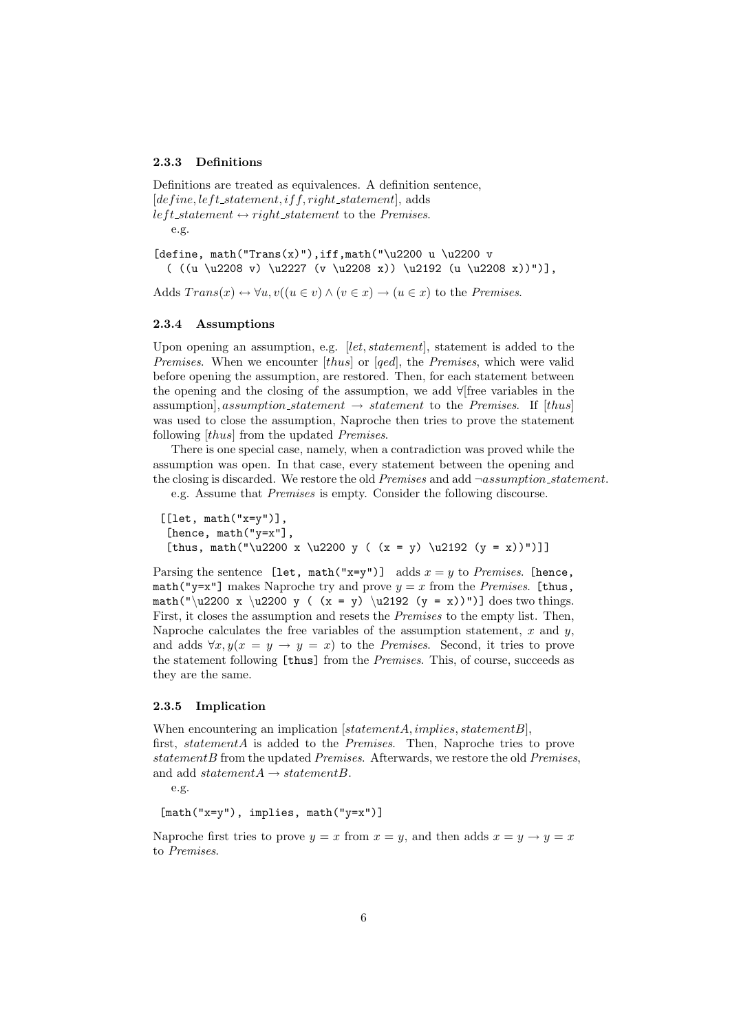#### 2.3.3 Definitions

Definitions are treated as equivalences. A definition sentence,  $[define, left\_statement, if f, right\_statement]$ , adds left\_statement  $\leftrightarrow$  right\_statement to the Premises. e.g.

[define, math("Trans(x)"),iff,math("\u2200 u \u2200 v ( ((u \u2208 v) \u2227 (v \u2208 x)) \u2192 (u \u2208 x))")],

Adds  $Trans(x) \leftrightarrow \forall u, v((u \in v) \land (v \in x) \rightarrow (u \in x)$  to the *Premises*.

#### 2.3.4 Assumptions

Upon opening an assumption, e.g.  $let, statement$ , statement is added to the Premises. When we encounter [thus] or [qed], the Premises, which were valid before opening the assumption, are restored. Then, for each statement between the opening and the closing of the assumption, we add ∀[free variables in the assumption], assumption\_statement  $\rightarrow$  statement to the Premises. If [thus] was used to close the assumption, Naproche then tries to prove the statement following [thus] from the updated *Premises*.

There is one special case, namely, when a contradiction was proved while the assumption was open. In that case, every statement between the opening and the closing is discarded. We restore the old *Premises* and add  $\neg assumption\_statement.$ 

e.g. Assume that Premises is empty. Consider the following discourse.

 $[$ [let, math $("x=y")$ ], [hence, math("y=x"], [thus, math("\u2200 x \u2200 y (  $(x = y)$  \u2192  $(y = x)$ ")]]

Parsing the sentence [let, math("x=y")] adds  $x = y$  to Premises. [hence, math("y=x"] makes Naproche try and prove  $y = x$  from the Premises. [thus, math("\u2200 x \u2200 y (  $(x = y)$  \u2192  $(y = x)$ ")] does two things. First, it closes the assumption and resets the *Premises* to the empty list. Then, Naproche calculates the free variables of the assumption statement,  $x$  and  $y$ , and adds  $\forall x, y(x = y \rightarrow y = x)$  to the *Premises*. Second, it tries to prove the statement following [thus] from the *Premises*. This, of course, succeeds as they are the same.

#### 2.3.5 Implication

When encountering an implication  $[statement A, implies, statement B],$ first, statementA is added to the Premises. Then, Naproche tries to prove  $statementB$  from the updated Premises. Afterwards, we restore the old Premises, and add statement $A \rightarrow statementB$ .

e.g.

$$
[math("x=y") , implies, math("y=x")]
$$

Naproche first tries to prove  $y = x$  from  $x = y$ , and then adds  $x = y \rightarrow y = x$ to Premises.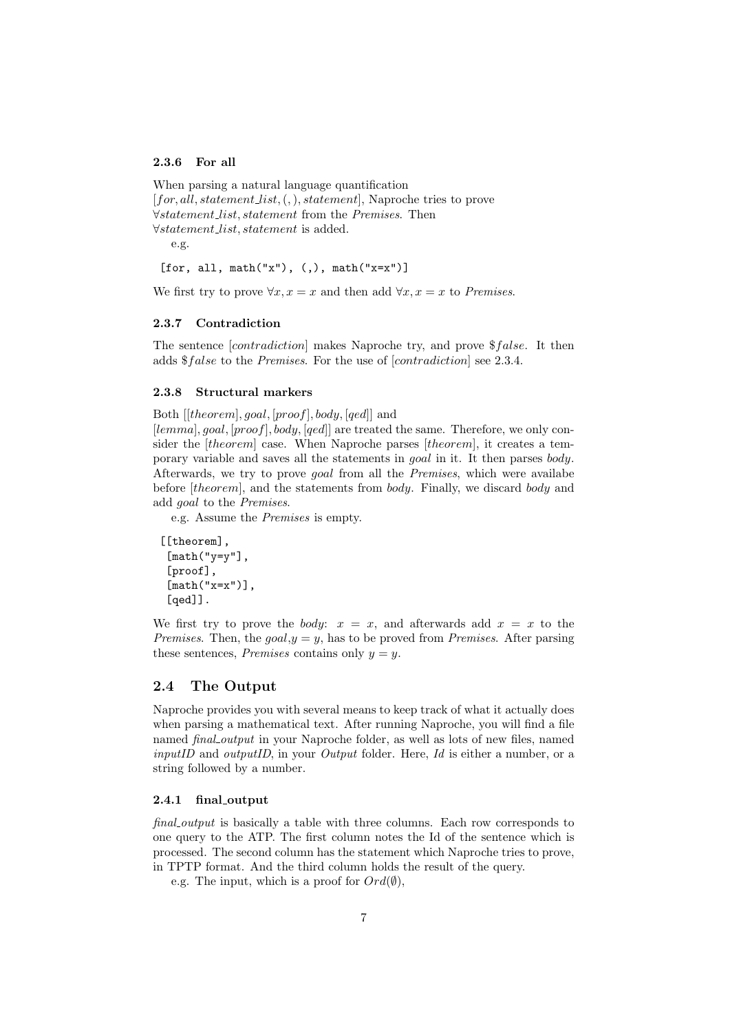#### 2.3.6 For all

```
When parsing a natural language quantification
[for, all, statement\_list, (,), statement], Naproche tries to prove
∀statement list, statement from the Premises. Then
∀statement list, statement is added.
   e.g.
 [for, all, math("x"), (,), math("x=x")]
```
We first try to prove  $\forall x, x = x$  and then add  $\forall x, x = x$  to Premises.

#### 2.3.7 Contradiction

The sentence  $[contradiction]$  makes Naproche try, and prove  $$false$ . It then adds \$false to the Premises. For the use of [contradiction] see 2.3.4.

#### 2.3.8 Structural markers

Both [[theorem], goal, [proof], body, [qed]] and

[lemma], goal, [proof], body, [qed]] are treated the same. Therefore, we only consider the [theorem] case. When Naproche parses [theorem], it creates a temporary variable and saves all the statements in goal in it. It then parses body. Afterwards, we try to prove goal from all the Premises, which were availabe before *[theorem]*, and the statements from *body*. Finally, we discard *body* and add goal to the Premises.

e.g. Assume the Premises is empty.

```
[[theorem],
 [math("y=y"],
 [proof],
 [math('x=x")],
[qed]].
```
We first try to prove the *body:*  $x = x$ , and afterwards add  $x = x$  to the Premises. Then, the  $q\text{od}, y = y$ , has to be proved from Premises. After parsing these sentences, *Premises* contains only  $y = y$ .

## 2.4 The Output

Naproche provides you with several means to keep track of what it actually does when parsing a mathematical text. After running Naproche, you will find a file named *final output* in your Naproche folder, as well as lots of new files, named inputID and outputID, in your Output folder. Here, Id is either a number, or a string followed by a number.

#### 2.4.1 final output

final output is basically a table with three columns. Each row corresponds to one query to the ATP. The first column notes the Id of the sentence which is processed. The second column has the statement which Naproche tries to prove, in TPTP format. And the third column holds the result of the query.

e.g. The input, which is a proof for  $Ord(\emptyset)$ .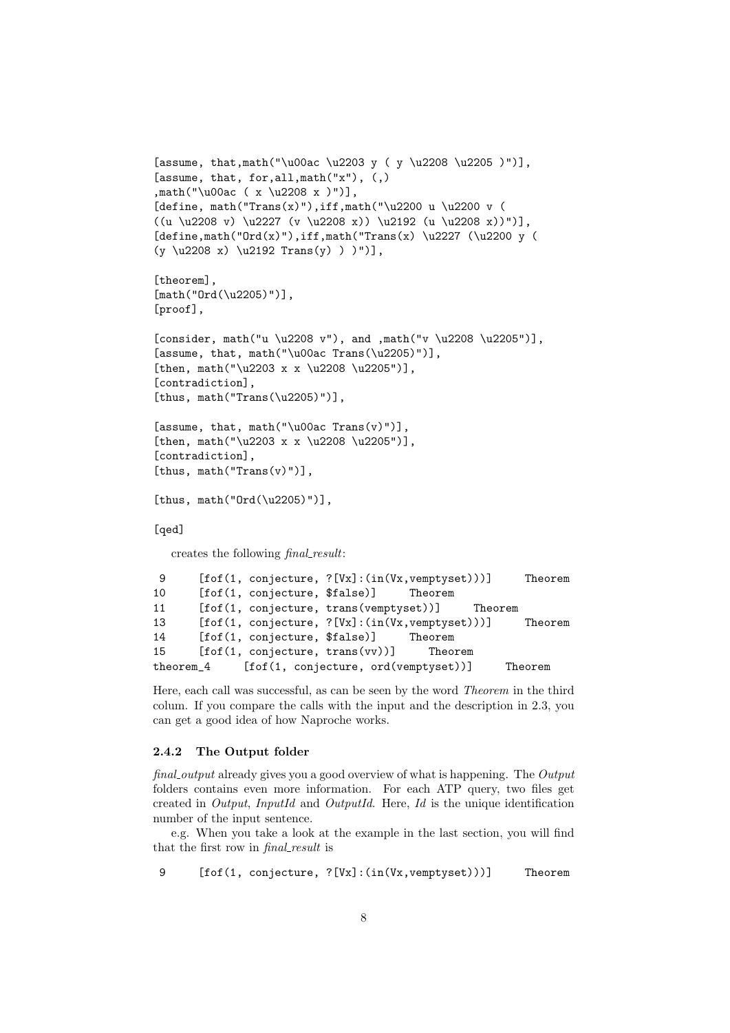```
[assume, that,math("\u00ac \u2203 y ( y \u2208 \u2205 )")],
[assume, that, for, all, \text{math("x")}, (,),math("\u00ac ( x \u2208 x )")],
[define, math("Trans(x)"),iff,math("\u2200 u \u2200 v (
((u \u2208 v) \u2227 (v \u2208 x)) \u2192 (u \u2208 x))")[define, math("Ord(x)"); iff, math("Trans(x) \u2227 (\u2200 y)(y \ u2208 x) \ u2192 Trans(y) ) " )[theorem],
[math("Ord(\u2205)")],
[proof],
[consider, math("u \u2208 v"), and ,math("v \u2208 \u2205")],
[assume, that, math("\u00ac Trans(\u2205)")],
[then, math("u2203 x x \u2208 \u2205"][contradiction],
[thus, math("Trans(\u2205)")],
[assume, that, math("\u00ac Trans(v)")],
[then, math("\u2203 x x \u2208 \u2205")],
[contradiction],
[thus, math("Trans(v)")],
[thus, math("Ord(\u2205)")],
[qed]
  creates the following final_result:
9 [fof(1, conjecture, ?[Vx]:(in(Vx,vemptyset)))] Theorem
10 [fof(1, conjecture, $false)] Theorem
```
11 [fof(1, conjecture, trans(vemptyset))] Theorem 13 [fof(1, conjecture, ?[Vx]:(in(Vx,vemptyset)))] Theorem 14 [fof(1, conjecture, \$false)] Theorem 15 [fof(1, conjecture, trans(vv))] Theorem theorem\_4 [fof(1, conjecture, ord(vemptyset))] Theorem

Here, each call was successful, as can be seen by the word Theorem in the third colum. If you compare the calls with the input and the description in 2.3, you can get a good idea of how Naproche works.

## 2.4.2 The Output folder

final output already gives you a good overview of what is happening. The Output folders contains even more information. For each ATP query, two files get created in Output, InputId and OutputId. Here, Id is the unique identification number of the input sentence.

e.g. When you take a look at the example in the last section, you will find that the first row in *final\_result* is

9 [fof(1, conjecture, ?[Vx]:(in(Vx,vemptyset)))] Theorem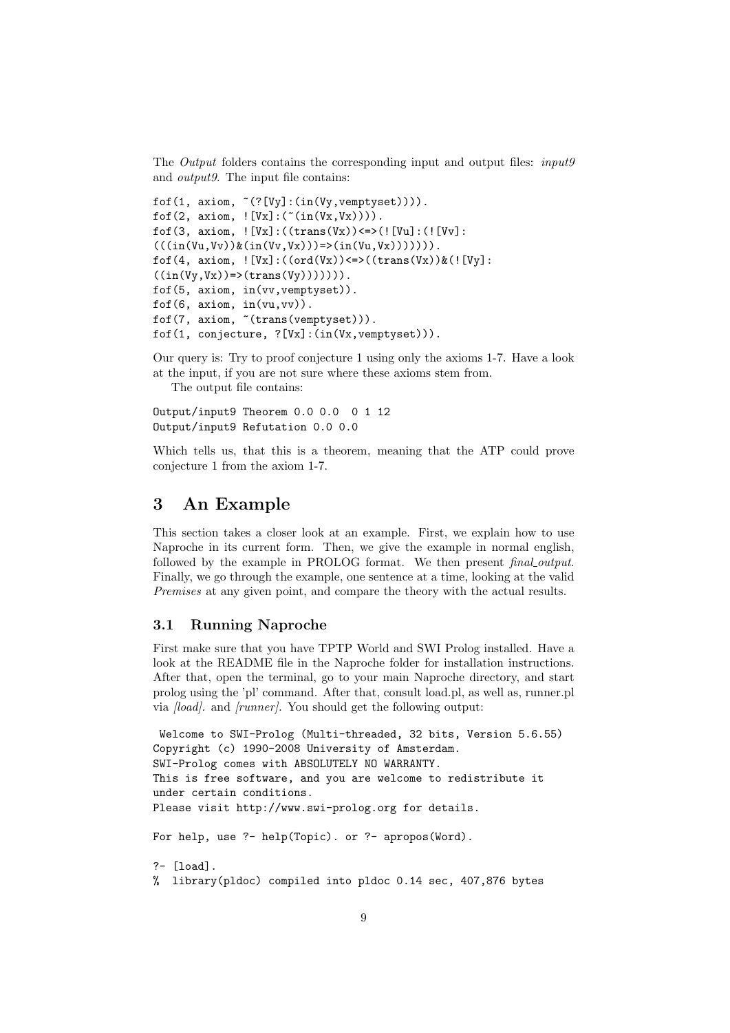The *Output* folders contains the corresponding input and output files: *input9* and output9. The input file contains:

```
fof(1, axiom, \tilde{ }(?[Vy]:(in(Vy, vemptyset)))).
fof(2, axiom, ! [Vx] : (-(in(Vx,Vx)))).
fof(3, axiom, ! [Vx] : ((trans(Vx)) \leq > (![Vu] : (![Vv] :(((in(Vu,Vv))\&(in(Vv,Vx)))=>(in(Vu,Vx))))).
f \circ f(4, \arcsin, ![Vx] : ((ord(Vx)) \leq*)(trans(Vx))\&(![Vy]:((in(Vy,Vx))\Rightarrow (trans(Vy))))).
fof(5, axiom, in(vv,vemptyset)).
fof(6, axiom, in(vu,vv)).
fof(7, axiom, ~(trans(vemptyset))).
fof(1, conjecture, ?[Vx]:(in(Vx,vemptyset))).
```
Our query is: Try to proof conjecture 1 using only the axioms 1-7. Have a look at the input, if you are not sure where these axioms stem from.

The output file contains:

Output/input9 Theorem 0.0 0.0 0 1 12 Output/input9 Refutation 0.0 0.0

Which tells us, that this is a theorem, meaning that the ATP could prove conjecture 1 from the axiom 1-7.

## 3 An Example

This section takes a closer look at an example. First, we explain how to use Naproche in its current form. Then, we give the example in normal english, followed by the example in PROLOG format. We then present final output. Finally, we go through the example, one sentence at a time, looking at the valid Premises at any given point, and compare the theory with the actual results.

## 3.1 Running Naproche

First make sure that you have TPTP World and SWI Prolog installed. Have a look at the README file in the Naproche folder for installation instructions. After that, open the terminal, go to your main Naproche directory, and start prolog using the 'pl' command. After that, consult load.pl, as well as, runner.pl via [load]. and [runner]. You should get the following output:

```
Welcome to SWI-Prolog (Multi-threaded, 32 bits, Version 5.6.55)
Copyright (c) 1990-2008 University of Amsterdam.
SWI-Prolog comes with ABSOLUTELY NO WARRANTY.
This is free software, and you are welcome to redistribute it
under certain conditions.
Please visit http://www.swi-prolog.org for details.
For help, use ?- help(Topic). or ?- apropos(Word).
?- [load].
% library(pldoc) compiled into pldoc 0.14 sec, 407,876 bytes
```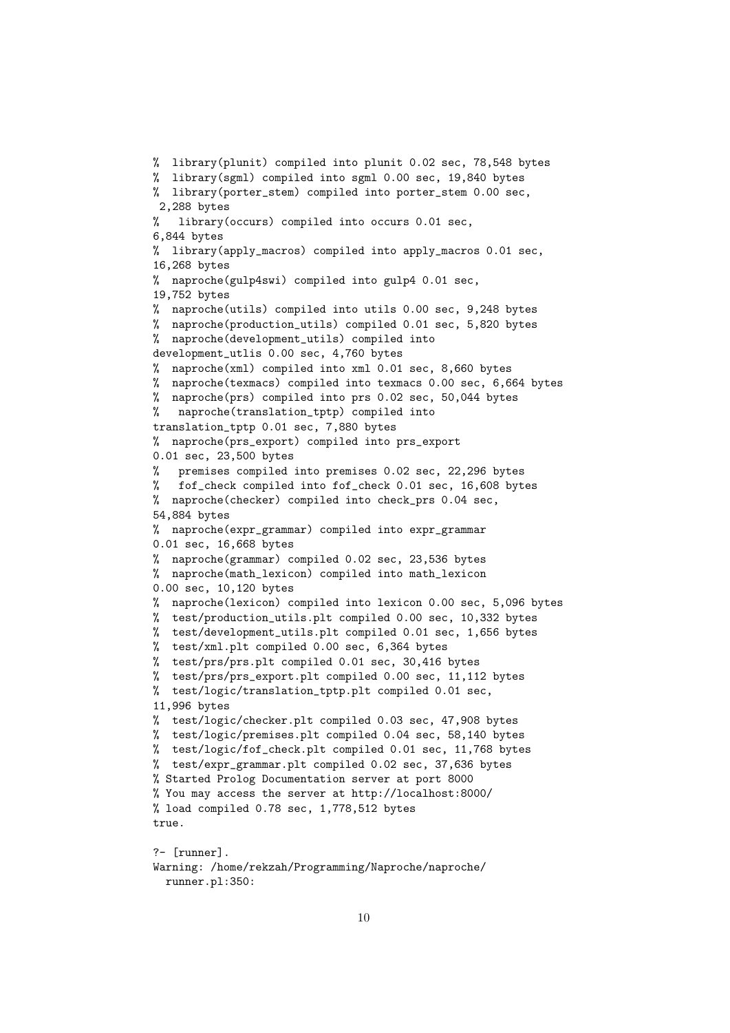```
% library(plunit) compiled into plunit 0.02 sec, 78,548 bytes
% library(sgml) compiled into sgml 0.00 sec, 19,840 bytes
% library(porter_stem) compiled into porter_stem 0.00 sec,
2,288 bytes
% library(occurs) compiled into occurs 0.01 sec,
6,844 bytes
% library(apply_macros) compiled into apply_macros 0.01 sec,
16,268 bytes
% naproche(gulp4swi) compiled into gulp4 0.01 sec,
19,752 bytes
% naproche(utils) compiled into utils 0.00 sec, 9,248 bytes
% naproche(production_utils) compiled 0.01 sec, 5,820 bytes
% naproche(development_utils) compiled into
development_utlis 0.00 sec, 4,760 bytes
% naproche(xml) compiled into xml 0.01 sec, 8,660 bytes
% naproche(texmacs) compiled into texmacs 0.00 sec, 6,664 bytes
% naproche(prs) compiled into prs 0.02 sec, 50,044 bytes
% naproche(translation_tptp) compiled into
translation_tptp 0.01 sec, 7,880 bytes
% naproche(prs_export) compiled into prs_export
0.01 sec, 23,500 bytes
% premises compiled into premises 0.02 sec, 22,296 bytes
% fof_check compiled into fof_check 0.01 sec, 16,608 bytes
% naproche(checker) compiled into check_prs 0.04 sec,
54,884 bytes
% naproche(expr_grammar) compiled into expr_grammar
0.01 sec, 16,668 bytes
% naproche(grammar) compiled 0.02 sec, 23,536 bytes
% naproche(math_lexicon) compiled into math_lexicon
0.00 sec, 10,120 bytes
% naproche(lexicon) compiled into lexicon 0.00 sec, 5,096 bytes
% test/production_utils.plt compiled 0.00 sec, 10,332 bytes
% test/development_utils.plt compiled 0.01 sec, 1,656 bytes
% test/xml.plt compiled 0.00 sec, 6,364 bytes
% test/prs/prs.plt compiled 0.01 sec, 30,416 bytes
% test/prs/prs_export.plt compiled 0.00 sec, 11,112 bytes
% test/logic/translation_tptp.plt compiled 0.01 sec,
11,996 bytes
% test/logic/checker.plt compiled 0.03 sec, 47,908 bytes
% test/logic/premises.plt compiled 0.04 sec, 58,140 bytes
% test/logic/fof_check.plt compiled 0.01 sec, 11,768 bytes
% test/expr_grammar.plt compiled 0.02 sec, 37,636 bytes
% Started Prolog Documentation server at port 8000
% You may access the server at http://localhost:8000/
% load compiled 0.78 sec, 1,778,512 bytes
true.
?- [runner].
Warning: /home/rekzah/Programming/Naproche/naproche/
```

```
runner.pl:350:
```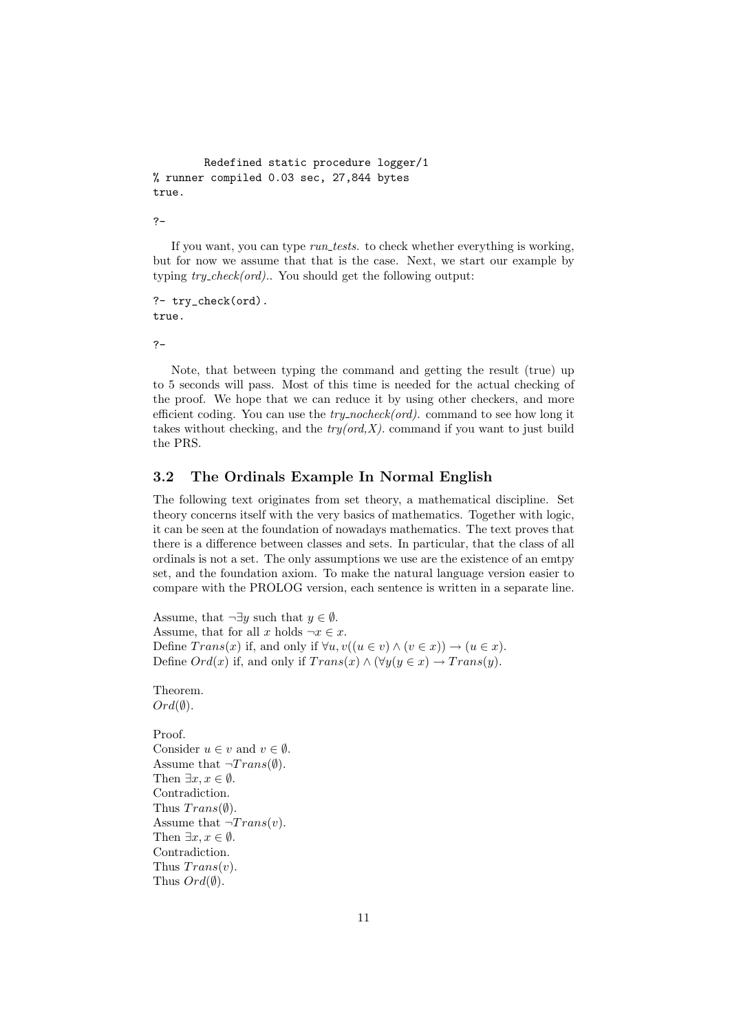```
Redefined static procedure logger/1
% runner compiled 0.03 sec, 27,844 bytes
true.
```

```
?-
```
If you want, you can type *run\_tests*. to check whether everything is working, but for now we assume that that is the case. Next, we start our example by typing  $try\_check(ord)$ . You should get the following output:

?- try\_check(ord). true.

?-

Note, that between typing the command and getting the result (true) up to 5 seconds will pass. Most of this time is needed for the actual checking of the proof. We hope that we can reduce it by using other checkers, and more efficient coding. You can use the  $try\_nocheck(ord)$ . command to see how long it takes without checking, and the  $try(ord, X)$ . command if you want to just build the PRS.

## 3.2 The Ordinals Example In Normal English

The following text originates from set theory, a mathematical discipline. Set theory concerns itself with the very basics of mathematics. Together with logic, it can be seen at the foundation of nowadays mathematics. The text proves that there is a difference between classes and sets. In particular, that the class of all ordinals is not a set. The only assumptions we use are the existence of an emtpy set, and the foundation axiom. To make the natural language version easier to compare with the PROLOG version, each sentence is written in a separate line.

Assume, that  $\neg \exists y$  such that  $y \in \emptyset$ . Assume, that for all x holds  $\neg x \in x$ . Define  $Trans(x)$  if, and only if  $\forall u, v((u \in v) \land (v \in x)) \rightarrow (u \in x)$ . Define  $Ord(x)$  if, and only if  $Trans(x) \wedge (\forall y (y \in x) \rightarrow Trans(y)).$ 

#### Theorem.  $Ord(\emptyset).$

Proof. Consider  $u \in v$  and  $v \in \emptyset$ . Assume that  $\neg Trans(\emptyset)$ . Then  $\exists x, x \in \emptyset$ . Contradiction. Thus  $Trans(\emptyset)$ . Assume that  $\neg Trans(v)$ . Then  $\exists x, x \in \emptyset$ . Contradiction. Thus  $Trans(v)$ . Thus  $Ord(\emptyset)$ .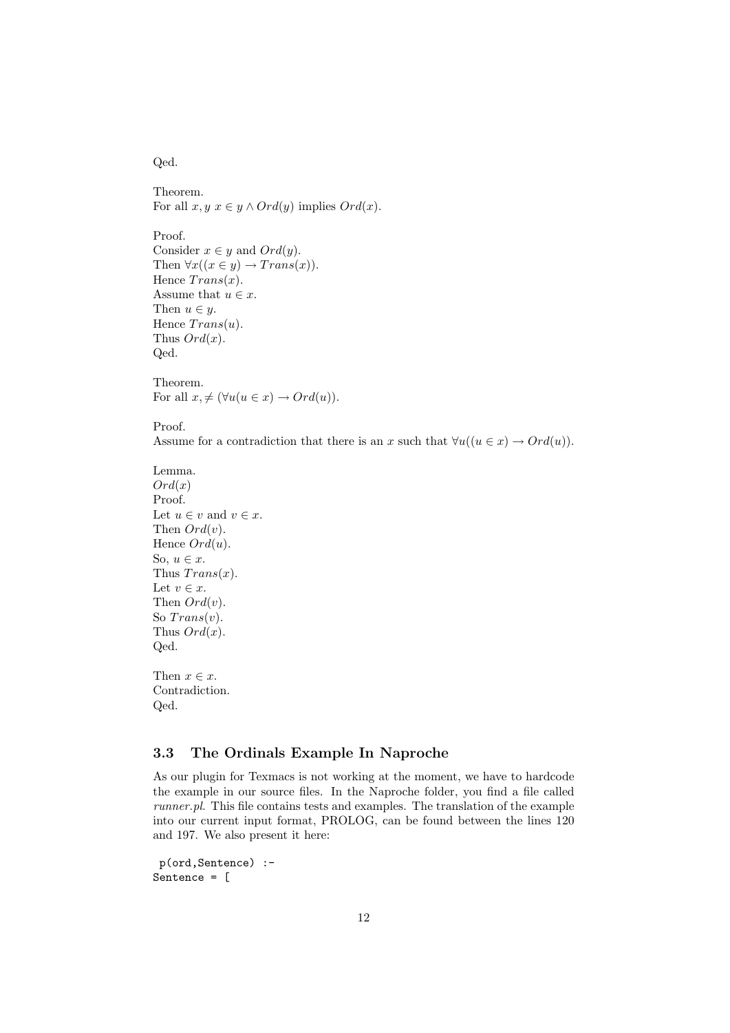Qed.

Theorem. For all  $x, y \in y \land Ord(y)$  implies  $Ord(x)$ .

Proof. Consider  $x \in y$  and  $Ord(y)$ . Then  $\forall x((x \in y) \rightarrow Trans(x)).$ Hence  $Trans(x)$ . Assume that  $u \in x$ . Then  $u \in y$ . Hence  $Trans(u)$ . Thus  $Ord(x)$ . Qed.

Theorem. For all  $x, \neq (\forall u(u \in x) \rightarrow Ord(u)).$ 

Proof.

Assume for a contradiction that there is an x such that  $\forall u((u \in x) \rightarrow Ord(u)).$ 

```
Lemma.
Ord(x)Proof.
Let u \in v and v \in x.
Then Ord(v).
Hence Ord(u).
So, u \in x.
Thus Trans(x).
Let v \in x.
Then Ord(v).
So Trans(v).
Thus Ord(x).
Qed.
```
Then  $x \in \mathcal{X}$ . Contradiction. Qed.

## 3.3 The Ordinals Example In Naproche

As our plugin for Texmacs is not working at the moment, we have to hardcode the example in our source files. In the Naproche folder, you find a file called runner.pl. This file contains tests and examples. The translation of the example into our current input format, PROLOG, can be found between the lines 120 and 197. We also present it here:

```
p(ord,Sentence) :-
Sentence = [
```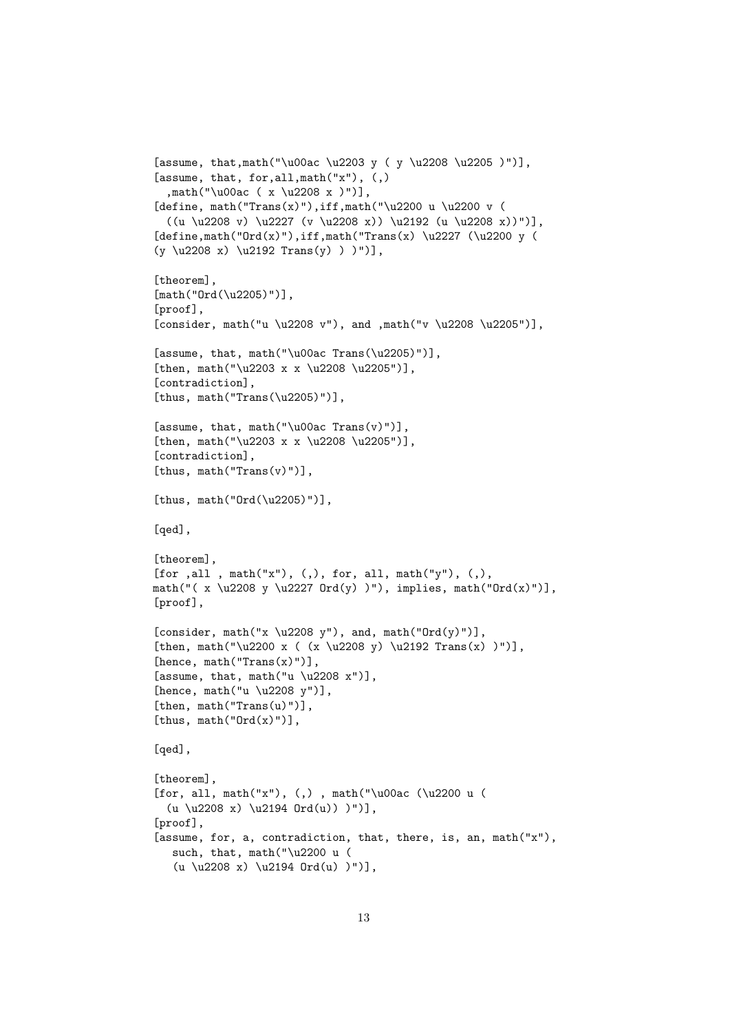```
[assume, that,math("\u00ac \u2203 y ( y \u2208 \u2205 )")],
[assume, that, for, all, \text{math("x")}, (,),math("\u00ac ( x \u2208 x )")],
[define, math("Trans(x)"),iff,math("\u2200 u \u2200 v (
  ((u \u2208 v) \u2227 (v \u2208 x)) \u2192 (u \u2208 x))")[define, math("Ord(x)"), iff, math("Trans(x) \u2227 (\u2200 y)(y \u2208 x) \u2192 Trans(y) ) "]\,[theorem],
[math("Ord(\u2205)")],
[proof],
[consider, math("u \u2208 v"), and ,math("v \u2208 \u2205")],
[assume, that, math("\u00ac Trans(\u2205)")],
[then, math("u2203 x x \u2208 \u2205"][contradiction].
[thus, math("Trans(\u2205)")],
[assume, that, math("\u00ac Trans(v)")],
[then, math("\u2203 x x \u2208 \u2205")],
[contradiction],
[thus, math("Trans(v)")],
[thus, math("0rd(\u2205)")],
[qed],
[theorem],
[for ,all , math("x"), (, ), for, all, math("y"), (,),
math("(x \u2208 y \u2227 Ord(y))"), implies, math("Ord(x)")],
[proof],
[consider, math("x \u2208 y"), and, math("Ord(y)")],
[then, math("\u2200 x ((x \u2208 y) \u2192 Trans(x) )")],
[hence, math("Trans(x)"))],[assume, that, math("u \u2208 x")],
[hence, math("u \u2208 y")],
[then, math("Trans(u)")],
[thus, math("Ord(x)")],
[qed],
[theorem],
[for, all, math("x"), (,) , math("\u00ac (\u2200 u (
  (u \u2208 x) \u2194 Ord(u)) )")],
[proof],
[assume, for, a, contradiction, that, there, is, an, math("x"),
   such, that, math("\u2200 u (
   (u \u2208 x) \u2194 Ord(u) )")
```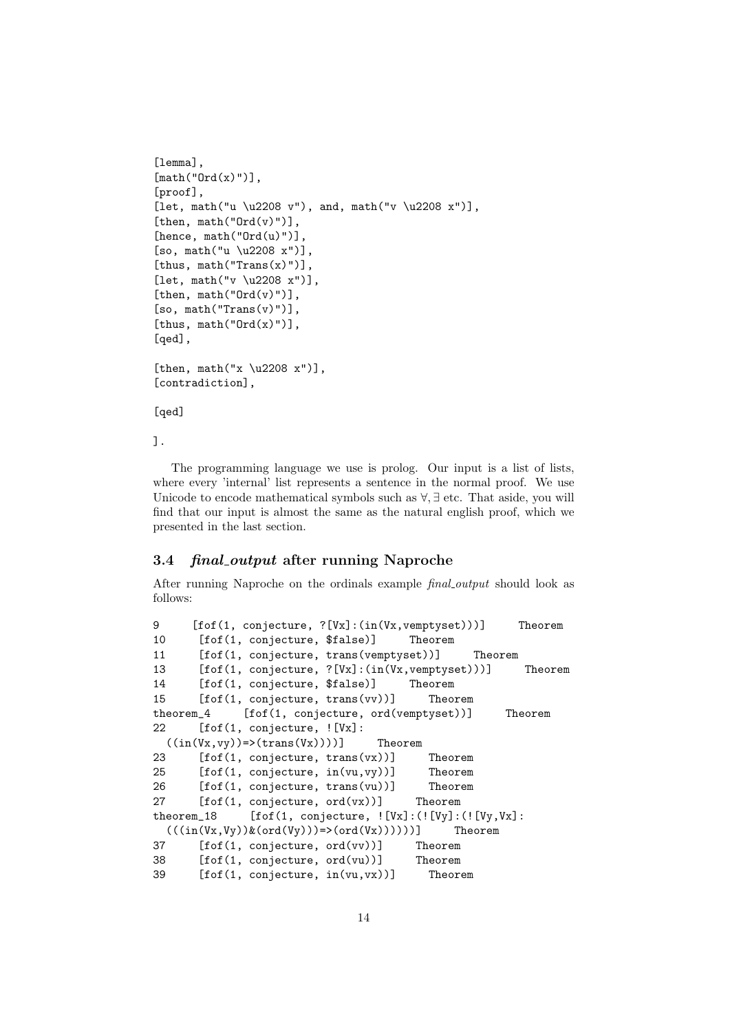```
[lemma],
[math('Ord(x)')],[proof],
[let, math("u \u2208 v"), and, math("v \u2208 x")],
[then, math("Ord(v)")],
[hence, math("Ord(u)"))],
[so, math("u \u2208 x")],[thus, math("Trans(x)")],
[let, math("v \u2208 x")],
[then, math("Ord(v)")],
[so, math("Trans(v)")],
[thus, math("Ord(x)")],
[qed],
[then, math("x \u2208 x")],
[contradiction],
```
[qed]

].

The programming language we use is prolog. Our input is a list of lists, where every 'internal' list represents a sentence in the normal proof. We use Unicode to encode mathematical symbols such as ∀, ∃ etc. That aside, you will find that our input is almost the same as the natural english proof, which we presented in the last section.

## 3.4 final output after running Naproche

After running Naproche on the ordinals example *final output* should look as follows:

```
9 [fof(1, conjecture, ?[Vx]:(in(Vx,vemptyset)))] Theorem
10 [fof(1, conjecture, $false)] Theorem
11 [fof(1, conjecture, trans(vemptyset))] Theorem
13 [fof(1, conjecture, ?[Vx]:(in(Vx,vemptyset)))] Theorem
14 [fof(1, conjecture, $false)] Theorem
15 [fof(1, conjecture, trans(vv))] Theorem
theorem_4 [fof(1, conjecture, ord(vemptyset))] Theorem
22 [fof(1, conjecture, ![Vx]:
 ((in(Vx,vy)) \Rightarrow (trans(Vx)))) Theorem
23 [fof(1, conjecture, trans(vx))] Theorem
25 [fof(1, conjecture, in(vu,vy))] Theorem
26 [fof(1, conjecture, trans(vu))] Theorem
27 [fof(1, conjecture, ord(vx))] Theorem
theorem_18 [fof(1, conjecture, ![Vx]:(![Vy]:(![Vy,Yx]]((\langle in(V_X,V_Y))\& (ord(V_Y)))=\rangle (ord(V_X)))) Theorem
37 [fof(1, conjecture, ord(vv))] Theorem
38 [fof(1, conjecture, ord(vu))] Theorem
39 [fof(1, conjecture, in(vu,vx))] Theorem
```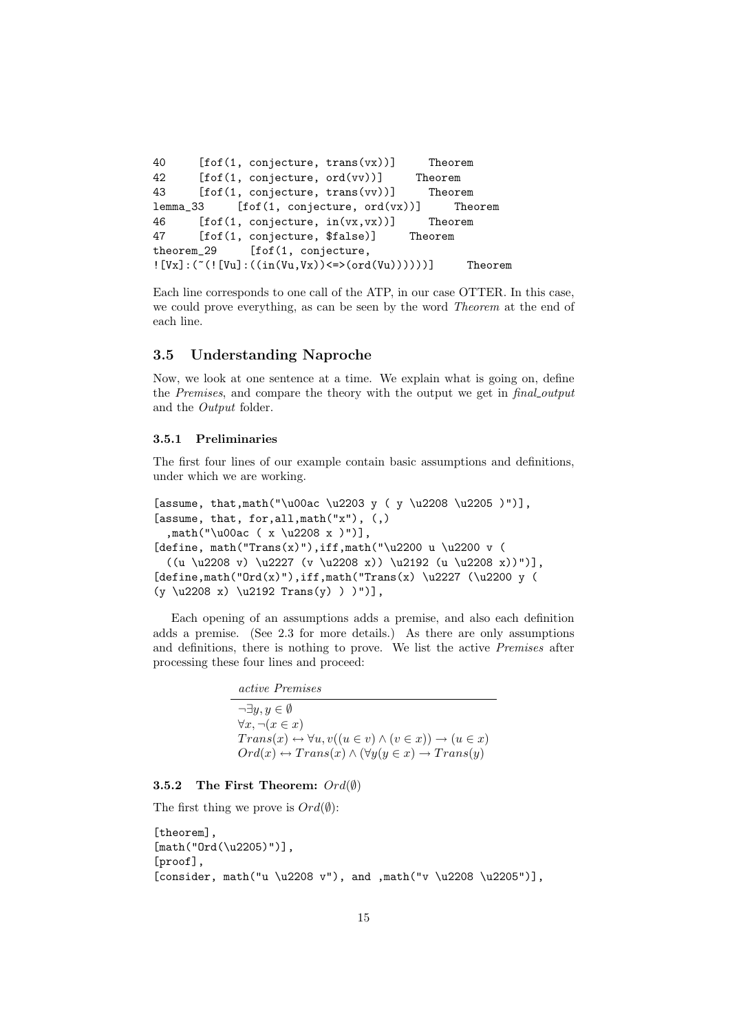```
40 [fof(1, conjecture, trans(vx))] Theorem
42 [fof(1, conjecture, ord(vv))] Theorem
43 [fof(1, conjecture, trans(vv))] Theorem
lemma_33 [fof(1, conjecture, ord(vx))] Theorem
46 [fof(1, conjecture, in(vx,vx))] Theorem
47 [fof(1, conjecture, $false)] Theorem
theorem_29 [fof(1, conjecture,
![Vx] : ("(![Vu] : ((in(Vu,Vx)) \leq)(ord(Vu))))))] Theorem
```
Each line corresponds to one call of the ATP, in our case OTTER. In this case, we could prove everything, as can be seen by the word Theorem at the end of each line.

## 3.5 Understanding Naproche

Now, we look at one sentence at a time. We explain what is going on, define the Premises, and compare the theory with the output we get in final output and the Output folder.

#### 3.5.1 Preliminaries

The first four lines of our example contain basic assumptions and definitions, under which we are working.

```
[assume, that,math("\u00ac \u2203 y ( y \u2208 \u2205 )")],
[assume, that, for, all, math("x"), (,),math("\u00ac ( x \u2208 x )")],
[define, math("Trans(x)"),iff,math("\u2200 u \u2200 v (
  ((u \u2208 v) \u2227 (v \u2208 x)) \u2192 (u \u2208 x))")[define,math("Ord(x)"),iff,math("Trans(x)\u2227 (\u2200 y (
(y \ u2208 x) \ u2192 Trans(y) ) )")],
```
Each opening of an assumptions adds a premise, and also each definition adds a premise. (See 2.3 for more details.) As there are only assumptions and definitions, there is nothing to prove. We list the active Premises after processing these four lines and proceed:

> active Premises  $\neg \exists u, u \in \emptyset$  $\forall x, \neg(x \in x)$  $Trans(x) \leftrightarrow \forall u, v((u \in v) \land (v \in x)) \rightarrow (u \in x)$  $Ord(x) \leftrightarrow Trans(x) \wedge (\forall y(y \in x) \rightarrow Trans(y))$

## 3.5.2 The First Theorem:  $Ord(\emptyset)$

The first thing we prove is  $Ord(\emptyset)$ :

```
[theorem],
[math("0rd(\u2205)")],
[proof],
[consider, math("u \u2208 v"), and ,math("v \u2208 \u2205")],
```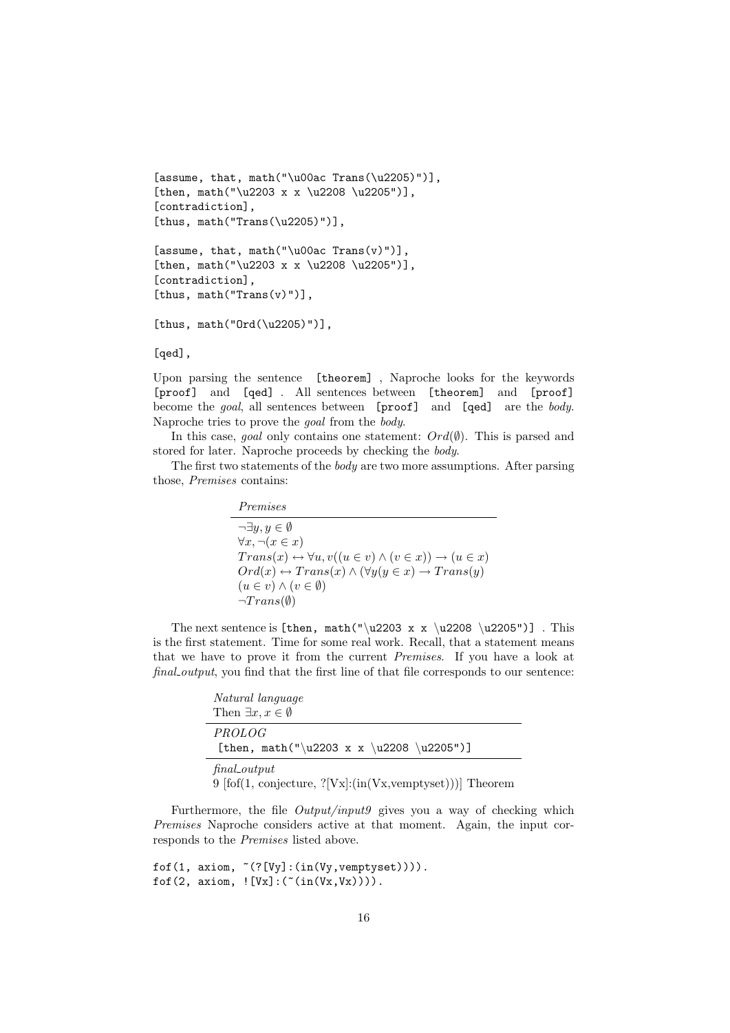```
[assume, that, math("\u00ac Trans(\u2205)")],
[then, math("\u2203 x x \u2208 \u2205")],
[contradiction],
[thus, math("Trans(\u2205)")],
```

```
[assume, that, math("\u00ac Trans(v)")],
[then, math("u2203 x x \u2208 \u2205"][contradiction],
[thus, math("Trans(v)"))],
```

```
[thus, math("Ord(\u2205)")],
```
#### [qed],

Upon parsing the sentence [theorem] , Naproche looks for the keywords [proof] and [qed] . All sentences between [theorem] and [proof] become the goal, all sentences between [proof] and [qed] are the body. Naproche tries to prove the goal from the body.

In this case, goal only contains one statement:  $Ord(\emptyset)$ . This is parsed and stored for later. Naproche proceeds by checking the body.

The first two statements of the body are two more assumptions. After parsing those, Premises contains:

#### Premises

 $\neg \exists y, y \in \emptyset$  $\forall x, \neg(x \in x)$  $Trans(x) \leftrightarrow \forall u, v((u \in v) \land (v \in x)) \rightarrow (u \in x)$  $Ord(x) \leftrightarrow Trans(x) \wedge (\forall y (y \in x) \rightarrow Trans(y))$  $(u \in v) \wedge (v \in \emptyset)$  $\neg Trans(\emptyset)$ 

The next sentence is [then, math("\u2203 x x \u2208 \u2205")]. This is the first statement. Time for some real work. Recall, that a statement means that we have to prove it from the current Premises. If you have a look at final output, you find that the first line of that file corresponds to our sentence:

| Natural language                                                               |  |  |
|--------------------------------------------------------------------------------|--|--|
| Then $\exists x, x \in \emptyset$                                              |  |  |
| <i>PROLOG</i><br>[then, math("\u2203 x x \u2208 \u2205")]                      |  |  |
| $final\_output$<br>9 $[fof(1, conjecture, ?[Vx]:(in(Vx, vemptyset)))]$ Theorem |  |  |

Furthermore, the file Output/input9 gives you a way of checking which Premises Naproche considers active at that moment. Again, the input corresponds to the Premises listed above.

```
fof(1, axiom, \tilde{f}(?[Vy]:(in(Vy,vemptyset)))).
fof(2, axiom, ! [Vx] : (-(in(Vx,Vx)))).
```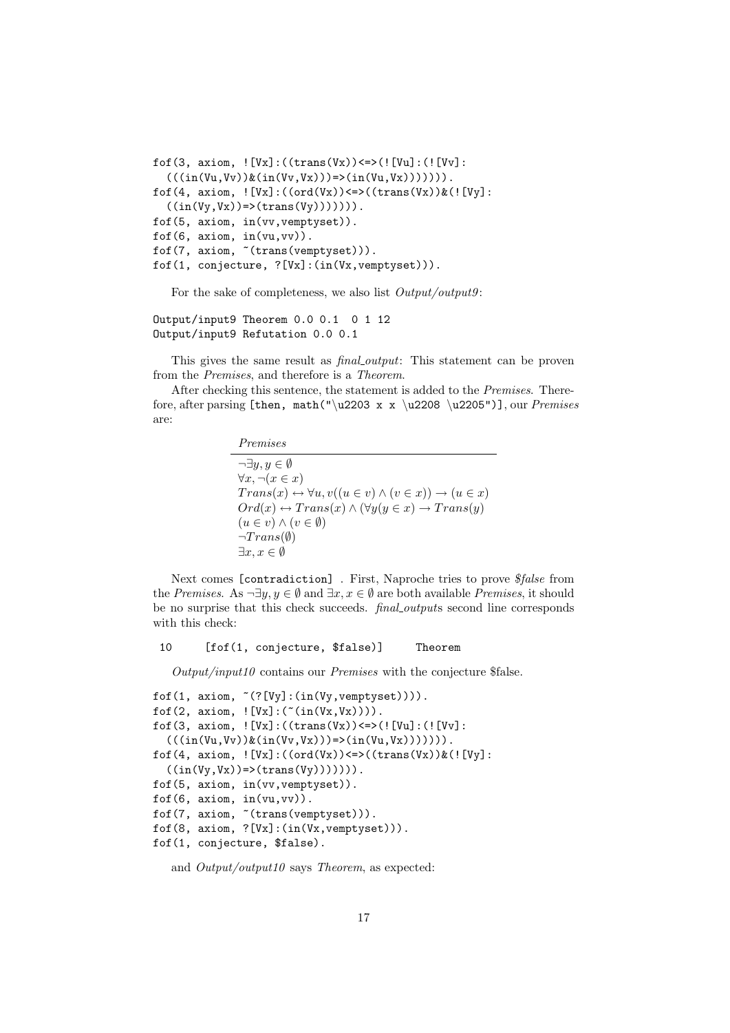```
fof(3, axiom, ! [Vx]:((trans(Vx)) <=>(! [Vu]:(! [Vv]:
  (((in(Vu,Vv))\&(in(Vv,Vx)))=)(in(Vu,Vx))))).
fof(4, axiom, ! [Vx] : ((ord(Vx)) \leftarrow > ((trans(Vx)) \& (![Vy] :((in(Vy,Vx))\Rightarrow (trans(Vy))))).
fof(5, axiom, in(vv,vemptyset)).
f \circ f(6, \arcsin, \text{in}(vu, vv)).
fof(7, axiom, "(trans(vemptyset))).
fof(1, conjecture, ?[Vx]:(in(Vx,vemptyset))).
```
For the sake of completeness, we also list  $Output/output9$ :

Output/input9 Theorem 0.0 0.1 0 1 12 Output/input9 Refutation 0.0 0.1

This gives the same result as *final output*: This statement can be proven from the Premises, and therefore is a Theorem.

After checking this sentence, the statement is added to the Premises. Therefore, after parsing [then, math("\u2203 x x \u2208 \u2205")], our Premises are:

> Premises  $\neg \exists y, y \in \emptyset$  $\forall x, \neg(x \in x)$  $Trans(x) \leftrightarrow \forall u, v((u \in v) \land (v \in x)) \rightarrow (u \in x)$  $Ord(x) \leftrightarrow Trans(x) \wedge (\forall y (y \in x) \rightarrow Trans(y))$  $(u \in v) \wedge (v \in \emptyset)$  $\neg Trans(\emptyset)$  $\exists x, x \in \emptyset$

Next comes [contradiction] . First, Naproche tries to prove \$false from the Premises. As  $\neg \exists y, y \in \emptyset$  and  $\exists x, x \in \emptyset$  are both available Premises, it should be no surprise that this check succeeds. final outputs second line corresponds with this check:

#### 10 [fof(1, conjecture, \$false)] Theorem

 $Output/input10$  contains our *Premises* with the conjecture \$false.

```
f \circ f(1, \text{ axiom}, \text{``(?}[Vy] : (\text{in}(Vy, vemptyset)))).
fof(2, axiom, !(Vx]:(\tilde{(in(Vx,Vx)})).
fof(3, axiom, ! [Vx] : ((trans(Vx)) \leq > (![Vu] : (![Vu] :(((in(Vu,Vv))\&(in(Vv,Vx)))=>(in(Vu,Vx)))))
fof(4, axiom, ! [Vx] : ((ord(Vx)) \leq*)(trans(Vx))&(![Vy] :((in(Vy,Vx))\Rightarrow (trans(Vy))))))).
fof(5, axiom, in(vv,vemptyset)).
fof(6, axiom, in(vu,vv)).
fof(7, axiom, ~(trans(vemptyset))).
fof(8, axiom, ?[Vx]:(in(Vx,vemptyset))).
fof(1, conjecture, $false).
```
and  $Output/output10$  says Theorem, as expected: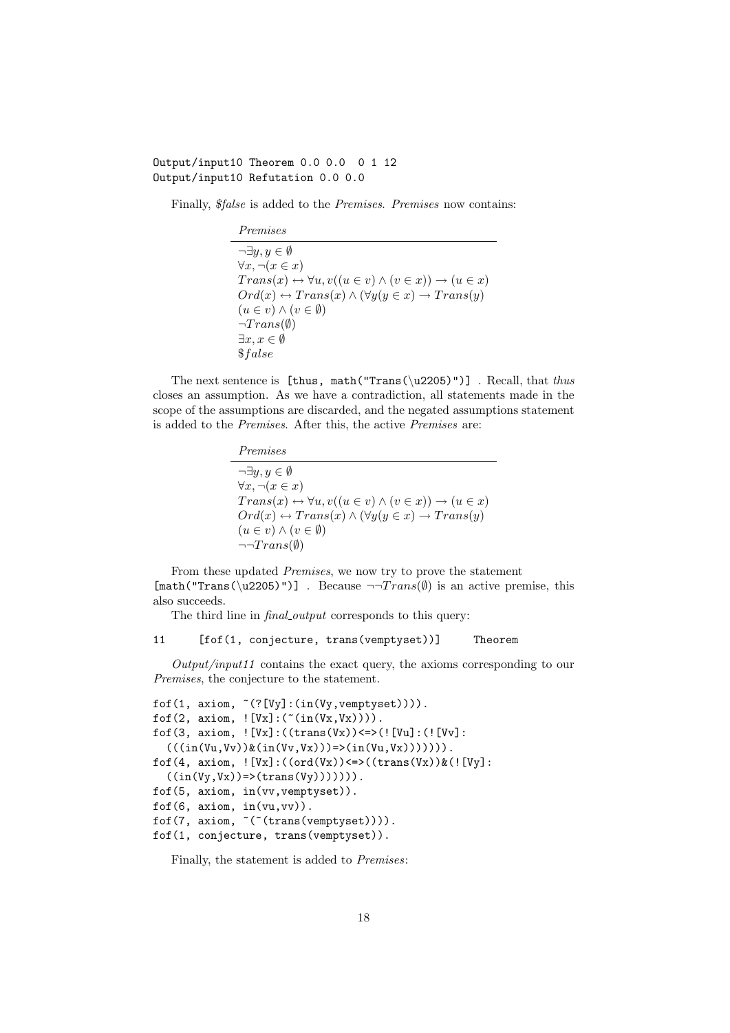### Output/input10 Theorem 0.0 0.0 0 1 12 Output/input10 Refutation 0.0 0.0

Finally, \$false is added to the Premises. Premises now contains:

Premises  $\neg \exists u, u \in \emptyset$  $\forall x, \neg(x \in x)$  $Trans(x) \leftrightarrow \forall u, v((u \in v) \land (v \in x)) \rightarrow (u \in x)$  $Ord(x) \leftrightarrow Trans(x) \wedge (\forall y (y \in x) \rightarrow Trans(y))$  $(u \in v) \wedge (v \in \emptyset)$  $\neg Trans(\emptyset)$  $\exists x, x \in \emptyset$ \$f alse

The next sentence is [thus, math("Trans(\u2205)")]. Recall, that thus closes an assumption. As we have a contradiction, all statements made in the scope of the assumptions are discarded, and the negated assumptions statement is added to the Premises. After this, the active Premises are:

| Premises |
|----------|
|          |

 $\neg \exists y, y \in \emptyset$  $\forall x, \neg(x \in x)$  $Trans(x) \leftrightarrow \forall u, v((u \in v) \land (v \in x)) \rightarrow (u \in x)$  $Ord(x) \leftrightarrow Trans(x) \land (\forall y(y \in x) \rightarrow Trans(y))$  $(u \in v) \wedge (v \in \emptyset)$  $\neg\neg Trans(\emptyset)$ 

From these updated Premises, we now try to prove the statement  $[\text{math("Trans(\u2205)")}]$ . Because  $\neg \text{Trans}(\emptyset)$  is an active premise, this also succeeds.

The third line in *final\_output* corresponds to this query:

#### 11 [fof(1, conjecture, trans(vemptyset))] Theorem

 $Output/input11$  contains the exact query, the axioms corresponding to our Premises, the conjecture to the statement.

```
fof(1, axiom, \tilde{ }(?[Vy]:(in(Vy, vemptyset)))).
fof(2, axiom, ! [Vx] : ( "(in(Vx,Vx)))).
fof(3, axiom, ! [Vx]:((trans(Vx)) <=>(! [Vu]:(! [Vv]:
  (((in(Vu,Vv))\&(in(Vv,Vx)))=>(in(Vu,Vx))))).
fof(4, axiom, ! [Vx] : ((ord(Vx)) \leq*)(trans(Vx))&([Vy]):((in(Vy,Vx))\Rightarrow (trans(Vy)))))).
fof(5, axiom, in(vv,vemptyset)).
fof(6, axiom, in(vu,vv)).
fof(7, axiom, ~(~(trans(vemptyset)))).
fof(1, conjecture, trans(vemptyset)).
```
Finally, the statement is added to Premises: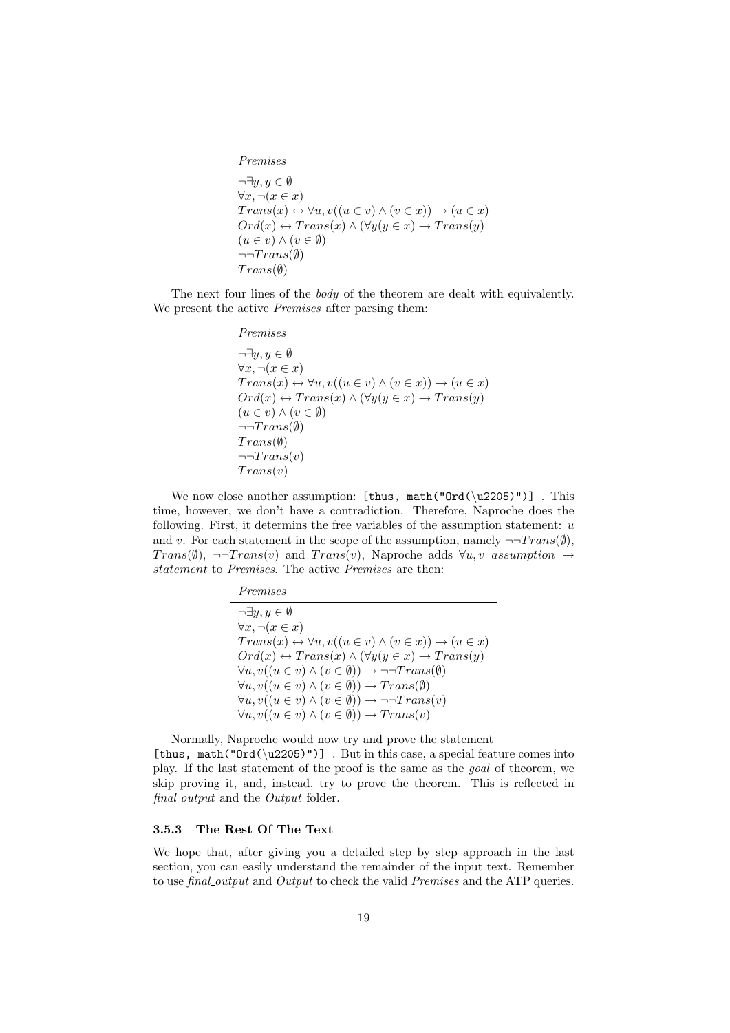Premises

$$
\neg \exists y, y \in \emptyset
$$
  
\n
$$
\forall x, \neg(x \in x)
$$
  
\n
$$
Trans(x) \leftrightarrow \forall u, v((u \in v) \land (v \in x)) \rightarrow (u \in x)
$$
  
\n
$$
Ord(x) \leftrightarrow Trans(x) \land (\forall y(y \in x) \rightarrow Trans(y))
$$
  
\n
$$
(u \in v) \land (v \in \emptyset)
$$
  
\n
$$
\neg Trans(\emptyset)
$$
  
\n
$$
Trans(\emptyset)
$$

The next four lines of the *body* of the theorem are dealt with equivalently. We present the active *Premises* after parsing them:

We now close another assumption: [thus, math(" $Ord(\u2205)$ ")]. This time, however, we don't have a contradiction. Therefore, Naproche does the following. First, it determins the free variables of the assumption statement:  $u$ and v. For each statement in the scope of the assumption, namely  $\neg$ Trans( $\emptyset$ ), Trans( $\emptyset$ ), ¬¬Trans(v) and Trans(v), Naproche adds  $\forall u, v$  assumption  $\rightarrow$ statement to Premises. The active Premises are then:

> Premises  $\neg \exists y, y \in \emptyset$  $\forall x, \neg(x \in x)$  $Trans(x) \leftrightarrow \forall u, v((u \in v) \land (v \in x)) \rightarrow (u \in x)$  $Ord(x) \leftrightarrow Trans(x) \wedge (\forall y (y \in x) \rightarrow Trans(y))$  $\forall u, v((u \in v) \land (v \in \emptyset)) \rightarrow \neg \neg Trans(\emptyset)$  $\forall u, v((u \in v) \land (v \in \emptyset)) \rightarrow Trans(\emptyset)$  $\forall u, v((u \in v) \land (v \in \emptyset)) \rightarrow \neg \neg Trans(v)$  $\forall u, v((u \in v) \land (v \in \emptyset)) \rightarrow Trans(v)$

Normally, Naproche would now try and prove the statement [thus, math("Ord(\u2205)")]. But in this case, a special feature comes into play. If the last statement of the proof is the same as the goal of theorem, we skip proving it, and, instead, try to prove the theorem. This is reflected in final output and the Output folder.

#### 3.5.3 The Rest Of The Text

We hope that, after giving you a detailed step by step approach in the last section, you can easily understand the remainder of the input text. Remember to use *final\_output* and *Output* to check the valid *Premises* and the ATP queries.